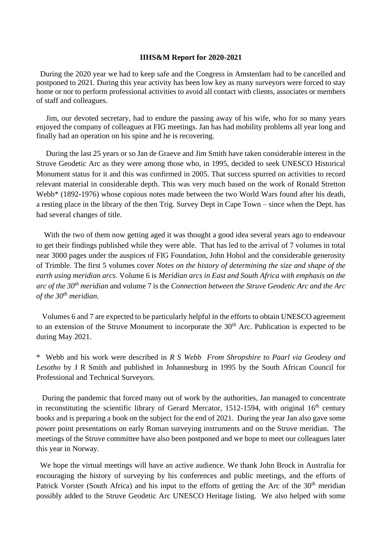## **IIHS&M Report for 2020-2021**

 During the 2020 year we had to keep safe and the Congress in Amsterdam had to be cancelled and postponed to 2021. During this year activity has been low key as many surveyors were forced to stay home or nor to perform professional activities to avoid all contact with clients, associates or members of staff and colleagues.

 Jim, our devoted secretary, had to endure the passing away of his wife, who for so many years enjoyed the company of colleagues at FIG meetings. Jan has had mobility problems all year long and finally had an operation on his spine and he is recovering.

During the last 25 years or so Jan de Graeve and Jim Smith have taken considerable interest in the Struve Geodetic Arc as they were among those who, in 1995, decided to seek UNESCO Historical Monument status for it and this was confirmed in 2005. That success spurred on activities to record relevant material in considerable depth. This was very much based on the work of Ronald Stretton Webb<sup>\*</sup> (1892-1976) whose copious notes made between the two World Wars found after his death, a resting place in the library of the then Trig. Survey Dept in Cape Town – since when the Dept. has had several changes of title.

With the two of them now getting aged it was thought a good idea several years ago to endeavour to get their findings published while they were able. That has led to the arrival of 7 volumes in total near 3000 pages under the auspices of FIG Foundation, John Hohol and the considerable generosity of Trimble. The first 5 volumes cover *Notes on the history of determining the size and shape of the earth using meridian arcs*. Volume 6 is *Meridian arcs in East and South Africa with emphasis on the arc of the 30th meridian* and volume 7 is the *Connection between the Struve Geodetic Arc and the Arc of the 30th meridian*.

 Volumes 6 and 7 are expected to be particularly helpful in the efforts to obtain UNESCO agreement to an extension of the Struve Monument to incorporate the  $30<sup>th</sup>$  Arc. Publication is expected to be during May 2021.

\* Webb and his work were described in *R S Webb From Shropshire to Paarl via Geodesy and Lesotho* by J R Smith and published in Johannesburg in 1995 by the South African Council for Professional and Technical Surveyors.

 During the pandemic that forced many out of work by the authorities, Jan managed to concentrate in reconstituting the scientific library of Gerard Mercator, 1512-1594, with original  $16<sup>th</sup>$  century books and is preparing a book on the subject for the end of 2021. During the year Jan also gave some power point presentations on early Roman surveying instruments and on the Struve meridian. The meetings of the Struve committee have also been postponed and we hope to meet our colleagues later this year in Norway.

 We hope the virtual meetings will have an active audience. We thank John Brock in Australia for encouraging the history of surveying by his conferences and public meetings, and the efforts of Patrick Vorster (South Africa) and his input to the efforts of getting the Arc of the  $30<sup>th</sup>$  meridian possibly added to the Struve Geodetic Arc UNESCO Heritage listing. We also helped with some